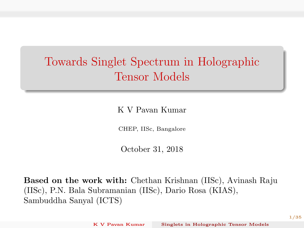# <span id="page-0-0"></span>Towards Singlet Spectrum in Holographic Tensor Models

K V Pavan Kumar

CHEP, IISc, Bangalore

October 31, 2018

Based on the work with: Chethan Krishnan (IISc), Avinash Raju (IISc), P.N. Bala Subramanian (IISc), Dario Rosa (KIAS), Sambuddha Sanyal (ICTS)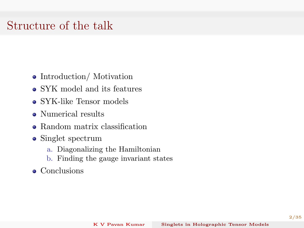#### Structure of the talk

- Introduction/ Motivation
- SYK model and its features
- SYK-like Tensor models
- Numerical results
- Random matrix classification
- Singlet spectrum
	- a. Diagonalizing the Hamiltonian
	- b. Finding the gauge invariant states
- Conclusions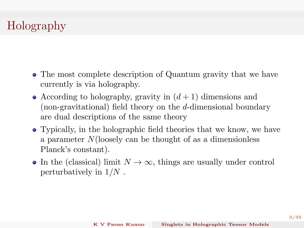## Holography

- The most complete description of Quantum gravity that we have currently is via holography.
- According to holography, gravity in  $(d+1)$  dimensions and (non-gravitational) field theory on the d-dimensional boundary are dual descriptions of the same theory
- Typically, in the holographic field theories that we know, we have a parameter N(loosely can be thought of as a dimensionless Planck's constant).
- In the (classical) limit  $N \to \infty$ , things are usually under control perturbatively in  $1/N$ .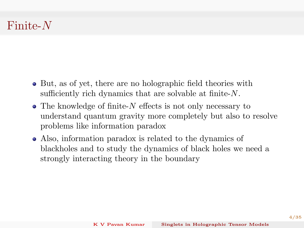## Finite-N

- But, as of yet, there are no holographic field theories with sufficiently rich dynamics that are solvable at finite-N.
- $\bullet$  The knowledge of finite-N effects is not only necessary to understand quantum gravity more completely but also to resolve problems like information paradox
- Also, information paradox is related to the dynamics of blackholes and to study the dynamics of black holes we need a strongly interacting theory in the boundary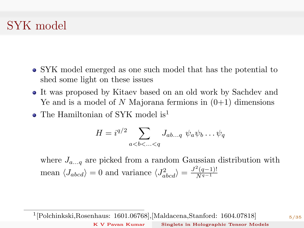## SYK model

- SYK model emerged as one such model that has the potential to shed some light on these issues
- It was proposed by Kitaev based on an old work by Sachdev and Ye and is a model of N Majorana fermions in  $(0+1)$  dimensions
- The Hamiltonian of SYK model is<sup>1</sup>

$$
H=i^{q/2}\sum_{a
$$

where  $J_{a...q}$  are picked from a random Gaussian distribution with mean  $\langle J_{abcd}\rangle = 0$  and variance  $\langle J_{abcd}^2\rangle = \frac{J^2(q-1)!}{N^{q-1}}$  $\overline{N^{q-1}}$ 

1 [Polchinkski,Rosenhaus: 1601.06768],[Maldacena,Stanford: 1604.07818]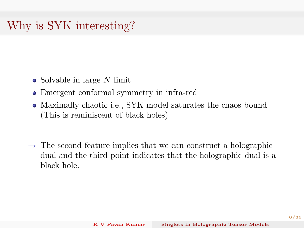## Why is SYK interesting?

- Solvable in large N limit
- Emergent conformal symmetry in infra-red
- Maximally chaotic i.e., SYK model saturates the chaos bound (This is reminiscent of black holes)
- $\rightarrow$  The second feature implies that we can construct a holographic dual and the third point indicates that the holographic dual is a black hole.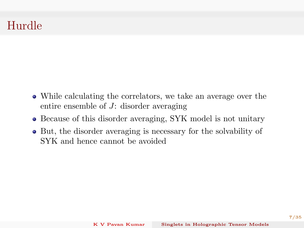## Hurdle

- While calculating the correlators, we take an average over the entire ensemble of J: disorder averaging
- Because of this disorder averaging, SYK model is not unitary
- But, the disorder averaging is necessary for the solvability of SYK and hence cannot be avoided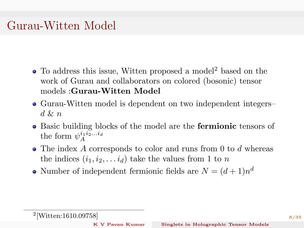## Gurau-Witten Model

- To address this issue, Witten proposed a model<sup>2</sup> based on the work of Gurau and collaborators on colored (bosonic) tensor models :Gurau-Witten Model
- Gurau-Witten model is dependent on two independent integers–  $d\,\&\, n$
- Basic building blocks of the model are the **fermionic** tensors of the form  $\psi_A^{i_1 i_2...i_d}$ A
- The index A corresponds to color and runs from 0 to d whereas the indices  $(i_1, i_2, \ldots i_d)$  take the values from 1 to n
- Number of independent fermionic fields are  $N = (d+1)n^d$

K [V Pavan Kumar](#page-0-0) Singlets in Holographic Tensor Models

<sup>2</sup> [Witten:1610.09758]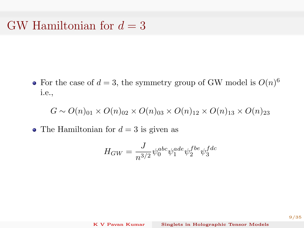#### GW Hamiltonian for  $d = 3$

For the case of  $d = 3$ , the symmetry group of GW model is  $O(n)^6$ i.e.,

 $G \sim O(n)_{01} \times O(n)_{02} \times O(n)_{03} \times O(n)_{12} \times O(n)_{13} \times O(n)_{23}$ 

• The Hamiltonian for  $d = 3$  is given as

$$
H_{GW} = \frac{J}{n^{3/2}} \psi_0^{abc} \psi_1^{ade} \psi_2^{fbe} \psi_3^{fdc}
$$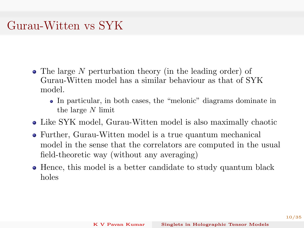## Gurau-Witten vs SYK

- The large N perturbation theory (in the leading order) of Gurau-Witten model has a similar behaviour as that of SYK model.
	- In particular, in both cases, the "melonic" diagrams dominate in the large N limit
- Like SYK model, Gurau-Witten model is also maximally chaotic
- Further, Gurau-Witten model is a true quantum mechanical model in the sense that the correlators are computed in the usual field-theoretic way (without any averaging)
- Hence, this model is a better candidate to study quantum black holes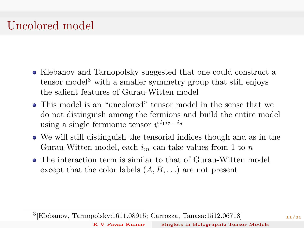# Uncolored model

- Klebanov and Tarnopolsky suggested that one could construct a tensor model<sup>3</sup> with a smaller symmetry group that still enjoys the salient features of Gurau-Witten model
- This model is an "uncolored" tensor model in the sense that we do not distinguish among the fermions and build the entire model using a single fermionic tensor  $\psi^{i_1 i_2...i_d}$
- We will still distinguish the tensorial indices though and as in the Gurau-Witten model, each  $i_m$  can take values from 1 to n
- The interaction term is similar to that of Gurau-Witten model except that the color labels  $(A, B, \ldots)$  are not present

3 [Klebanov, Tarnopolsky:1611.08915; Carrozza, Tanasa:1512.06718]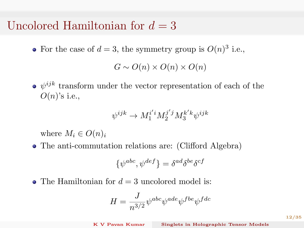#### Uncolored Hamiltonian for  $d = 3$

For the case of  $d=3$ , the symmetry group is  $O(n)^3$  i.e.,

$$
G \sim O(n) \times O(n) \times O(n)
$$

 $\psi^{ijk}$  transform under the vector representation of each of the  $O(n)$ 's i.e.,

$$
\psi^{ijk} \rightarrow M^{i'i}_1 M^{j'j}_2 M^{k'k}_3 \psi^{ijk}
$$

where  $M_i \in O(n)_i$ 

The anti-commutation relations are: (Clifford Algebra)

$$
\{\psi^{abc},\psi^{def}\} = \delta^{ad}\delta^{be}\delta^{cf}
$$

• The Hamiltonian for  $d = 3$  uncolored model is:

$$
H=\frac{J}{n^{3/2}}\psi^{abc}\psi^{ade}\psi^{fbe}\psi^{fde}
$$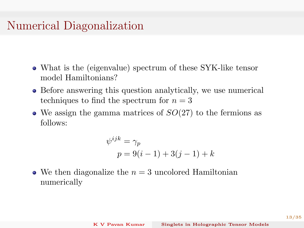#### Numerical Diagonalization

- What is the (eigenvalue) spectrum of these SYK-like tensor model Hamiltonians?
- Before answering this question analytically, we use numerical techniques to find the spectrum for  $n = 3$
- $\bullet$  We assign the gamma matrices of  $SO(27)$  to the fermions as follows:

$$
\psi^{ijk} = \gamma_p
$$
  

$$
p = 9(i - 1) + 3(j - 1) + k
$$

• We then diagonalize the  $n = 3$  uncolored Hamiltonian numerically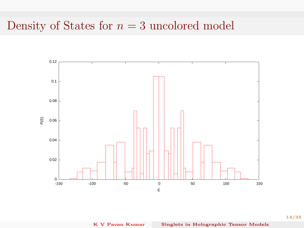## Density of States for  $n = 3$  uncolored model



14/35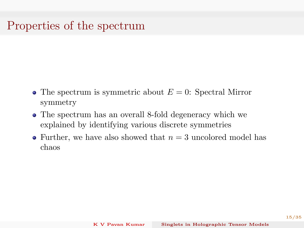## Properties of the spectrum

- The spectrum is symmetric about  $E = 0$ : Spectral Mirror symmetry
- The spectrum has an overall 8-fold degeneracy which we explained by identifying various discrete symmetries
- Further, we have also showed that  $n = 3$  uncolored model has chaos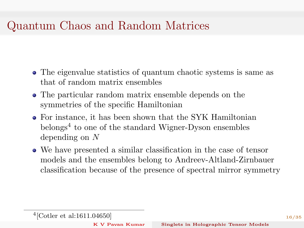## Quantum Chaos and Random Matrices

- The eigenvalue statistics of quantum chaotic systems is same as that of random matrix ensembles
- The particular random matrix ensemble depends on the symmetries of the specific Hamiltonian
- For instance, it has been shown that the SYK Hamiltonian belongs<sup>4</sup> to one of the standard Wigner-Dyson ensembles depending on N
- We have presented a similar classification in the case of tensor models and the ensembles belong to Andreev-Altland-Zirnbauer classification because of the presence of spectral mirror symmetry

K [V Pavan Kumar](#page-0-0) Singlets in Holographic Tensor Models

<sup>4</sup> [Cotler et al:1611.04650]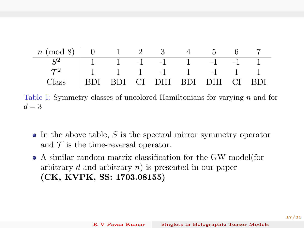

Table 1: Symmetry classes of uncolored Hamiltonians for varying n and for  $d=3$ 

- $\bullet$  In the above table, S is the spectral mirror symmetry operator and  $\mathcal T$  is the time-reversal operator.
- A similar random matrix classification for the GW model(for arbitrary d and arbitrary  $n$ ) is presented in our paper (CK, KVPK, SS: 1703.08155)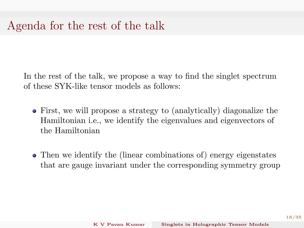#### Agenda for the rest of the talk

In the rest of the talk, we propose a way to find the singlet spectrum of these SYK-like tensor models as follows:

- First, we will propose a strategy to (analytically) diagonalize the Hamiltonian i.e., we identify the eigenvalues and eigenvectors of the Hamiltonian
- Then we identify the (linear combinations of) energy eigenstates that are gauge invariant under the corresponding symmetry group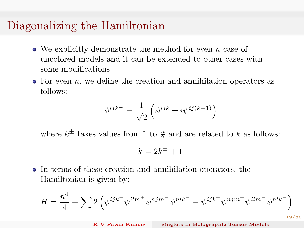#### Diagonalizing the Hamiltonian

- We explicitly demonstrate the method for even  $n$  case of uncolored models and it can be extended to other cases with some modifications
- $\bullet$  For even *n*, we define the creation and annihilation operators as follows:

$$
\psi^{ijk} = \frac{1}{\sqrt{2}} \left( \psi^{ijk} \pm i \psi^{ij(k+1)} \right)
$$

where  $k^{\pm}$  takes values from 1 to  $\frac{n}{2}$  and are related to k as follows:

$$
k = 2k^{\pm} + 1
$$

In terms of these creation and annihilation operators, the Hamiltonian is given by:

$$
H = \frac{n^4}{4} + \sum_{i=1}^{n} 2 \left( \psi^{ijk^{+}} \psi^{ilm^{+}} \psi^{njm^{-}} \psi^{nlk^{-}} - \psi^{ijk^{+}} \psi^{njm^{+}} \psi^{ilm^{-}} \psi^{nlk^{-}} \right)
$$

19/35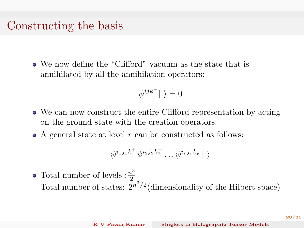#### Constructing the basis

We now define the "Clifford" vacuum as the state that is annihilated by all the annihilation operators:

$$
\psi^{ijk^-}\vert\ \rangle=0
$$

- We can now construct the entire Clifford representation by acting on the ground state with the creation operators.
- A general state at level  $r$  can be constructed as follows:

$$
\psi^{i_1j_1k_1^+}\psi^{i_2j_2k_2^+}\dots\psi^{i_rj_rk_r^+}\vert\ \rangle
$$

Total number of levels :  $\frac{n^3}{2}$ 2 Total number of states:  $2^{n^3/2}$  (dimensionality of the Hilbert space)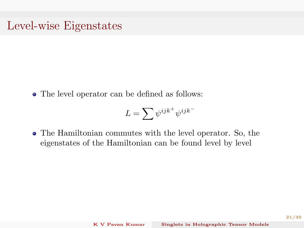#### Level-wise Eigenstates

• The level operator can be defined as follows:

$$
L=\sum \psi^{ijk^+}\psi^{ijk^-}
$$

The Hamiltonian commutes with the level operator. So, the eigenstates of the Hamiltonian can be found level by level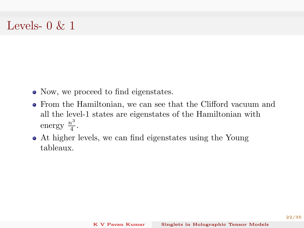#### Levels-  $0 \& 1$

- Now, we proceed to find eigenstates.
- From the Hamiltonian, we can see that the Clifford vacuum and all the level-1 states are eigenstates of the Hamiltonian with energy  $\frac{n^3}{4}$  $\frac{i^{\circ}}{4}$ .
- At higher levels, we can find eigenstates using the Young tableaux.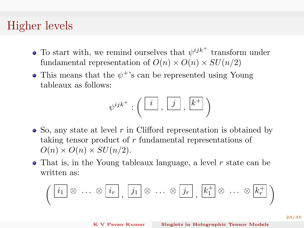#### Higher levels

- To start with, we remind ourselves that  $\psi^{ijk}$ <sup>+</sup> transform under fundamental representation of  $O(n) \times O(n) \times SU(n/2)$
- This means that the  $\psi^+$ 's can be represented using Young tableaux as follows:

$$
\psi^{ijk^+}:\left(\begin{array}{|c|}\hline i\\ \hline \end{array},\begin{array}{|c|}\hline j\\ \hline \end{array},\begin{array}{|c|}\hline k^+\end{array}\right)
$$

- $\bullet$  So, any state at level r in Clifford representation is obtained by taking tensor product of r fundamental representations of  $O(n) \times O(n) \times SU(n/2)$ .
- That is, in the Young tableaux language, a level r state can be written as:

$$
\left(\begin{array}{ccc} \boxed{i_1} & \otimes & \cdots & \otimes & \boxed{i_r} \\ \hline & & & \cdots & \otimes & \boxed{j_1} \end{array}\right) \otimes \cdots \otimes \boxed{j_r}, \quad \boxed{k_1^+} \otimes \cdots \otimes \boxed{k_r^+}
$$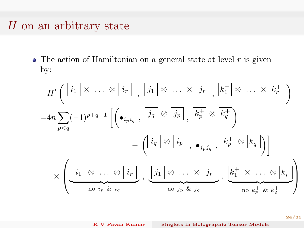### $H$  on an arbitrary state

 $\bullet$  The action of Hamiltonian on a general state at level  $r$  is given by:

$$
H'\left(\begin{array}{c}i_1 \otimes \cdots \otimes i_r \atop i_1 \neq i_r \end{array}, \begin{array}{c}j_1 \otimes \cdots \otimes j_r \atop j_1 \neq i_r \end{array}, \begin{array}{c}k_1^+ \otimes \cdots \otimes k_r^+ \atop k_1 \neq i_r \end{array}\right)
$$
  
\n
$$
=4n \sum_{p < q} (-1)^{p+q-1} \left[ \left( \bullet_{i_p i_q}, \begin{array}{c}j_q \otimes j_p \atop j_1 \neq i_r \end{array}, \begin{array}{c}k_p^+ \otimes k_q^+ \atop k_1 \neq i_r \end{array}\right) - \left( \begin{array}{c}i_q \otimes i_p \atop i_1 \neq i_r \end{array}, \begin{array}{c}k_p^+ \otimes k_q^+ \atop k_1 \neq i_r \end{array}\right) \right]
$$
  
\n
$$
\otimes \left( \underbrace{\begin{array}{ccc}i_1 \otimes \cdots \otimes i_r \atop i_1 \neq i_r \end{array}}_{\text{no }i_p \& i_q}, \begin{array}{c}j_1 \otimes \cdots \otimes j_r \atop \text{no }j_p \& j_q \end{array}, \begin{array}{c}k_1^+ \otimes \cdots \otimes k_r^+ \atop k_1 \neq i_r \end{array}\right)
$$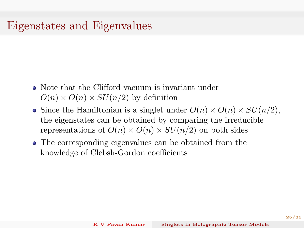## Eigenstates and Eigenvalues

- Note that the Clifford vacuum is invariant under  $O(n) \times O(n) \times SU(n/2)$  by definition
- Since the Hamiltonian is a singlet under  $O(n) \times O(n) \times SU(n/2)$ , the eigenstates can be obtained by comparing the irreducible representations of  $O(n) \times O(n) \times SU(n/2)$  on both sides
- The corresponding eigenvalues can be obtained from the knowledge of Clebsh-Gordon coefficients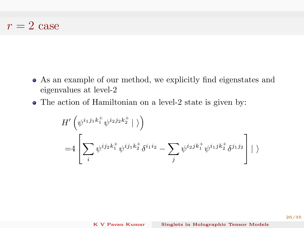#### $r = 2$  case

- As an example of our method, we explicitly find eigenstates and eigenvalues at level-2
- The action of Hamiltonian on a level-2 state is given by:

$$
H'\left(\psi^{i_1j_1k_1^+}\psi^{i_2j_2k_2^+}\mid\right)\\=4\left[\sum_i\psi^{ij_2k_1^+}\psi^{ij_1k_2^+}\delta^{i_1i_2}-\sum_j\psi^{i_2jk_1^+}\psi^{i_1jk_2^+}\delta^{j_1j_2}\right]\mid\}
$$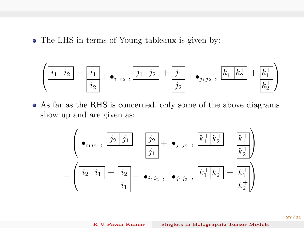• The LHS in terms of Young tableaux is given by:

$$
\left(\boxed{i_1\ \ket{i_2} + \frac{i_1}{i_2}} + \bullet_{i_1i_2}, \boxed{j_1\ \ket{j_2} + \frac{j_1}{j_2}} + \bullet_{j_1j_2}, \boxed{k_1^+ \ k_2^+} + \frac{k_1^+}{k_2^+}\right)
$$

As far as the RHS is concerned, only some of the above diagrams show up and are given as:

$$
\left(\bullet_{i_1i_2}, \frac{j_2 \, j_1 + j_2}{j_1} + \bullet_{j_1j_2}, \frac{k_1^+ k_2^+}{k_1^+}\right) - \left(\frac{i_2 \, i_1 + i_2}{i_1} + \bullet_{i_1i_2}, \bullet_{j_1j_2}, \frac{k_1^+ k_2^+}{k_1^+}\right) + \bullet_{i_1i_2}
$$

27/35

K [V Pavan Kumar](#page-0-0) Singlets in Holographic Tensor Models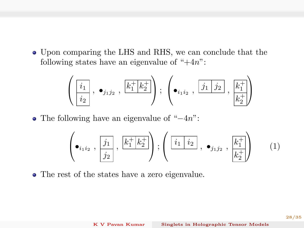Upon comparing the LHS and RHS, we can conclude that the following states have an eigenvalue of " $+4n$ ":

$$
\left(\begin{array}{c}i_1\\i_2\end{array},\ \bullet_{j_1j_2}\ ,\ \frac{k_1^+|k_2^+|}{k_1^+|k_2^+|}\right);\ \left(\bullet_{i_1i_2}\ ,\ \frac{j_1|j_2|}{k_1^+}\ ,\ \frac{k_1^+}{k_2^+}\right)
$$

• The following have an eigenvalue of "−4n":

$$
\left(\bullet_{i_1i_2}\right),\frac{\left|j_1\right|}{j_2},\frac{\left|k_1^+\right|k_2^+}{j_2}\right); \left(\frac{\left|i_1\right|i_2\right|}{j_1j_2},\bullet_{j_1j_2},\frac{\left|k_1^+\right|}{k_2^+}\right) \qquad (1)
$$

The rest of the states have a zero eigenvalue.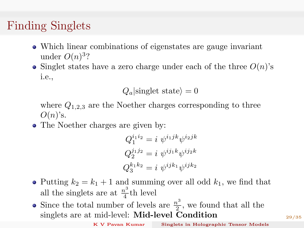## Finding Singlets

- Which linear combinations of eigenstates are gauge invariant under  $O(n)^3$ ?
- Singlet states have a zero charge under each of the three  $O(n)$ 's i.e.,

 $Q_a$  singlet state $\rangle = 0$ 

where  $Q_{1,2,3}$  are the Noether charges corresponding to three  $O(n)$ 's.

• The Noether charges are given by:

$$
Q_1^{i_1 i_2} = i \psi^{i_1 j k} \psi^{i_2 j k}
$$
  
\n
$$
Q_2^{j_1 j_2} = i \psi^{i j_1 k} \psi^{i j_2 k}
$$
  
\n
$$
Q_3^{k_1 k_2} = i \psi^{i j k_1} \psi^{i j k_2}
$$

- Putting  $k_2 = k_1 + 1$  and summing over all odd  $k_1$ , we find that all the singlets are at  $\frac{n^3}{4}$  $rac{v}{4}$ th level
- Since the total number of levels are  $\frac{n^3}{2}$  $\frac{u^2}{2}$ , we found that all the singlets are at mid-level: Mid-level Condition

K [V Pavan Kumar](#page-0-0) Singlets in Holographic Tensor Models

29/35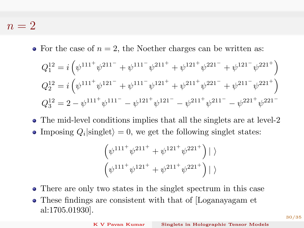$n = 2$ 

• For the case of  $n = 2$ , the Noether charges can be written as:

$$
Q_1^{12} = i \left( \psi^{111^+} \psi^{211^-} + \psi^{111^-} \psi^{211^+} + \psi^{121^+} \psi^{221^-} + \psi^{121^-} \psi^{221^+} \right)
$$
  
\n
$$
Q_2^{12} = i \left( \psi^{111^+} \psi^{121^-} + \psi^{111^-} \psi^{121^+} + \psi^{211^+} \psi^{221^-} + \psi^{211^-} \psi^{221^+} \right)
$$
  
\n
$$
Q_3^{12} = 2 - \psi^{111^+} \psi^{111^-} - \psi^{121^+} \psi^{121^-} - \psi^{211^+} \psi^{211^-} - \psi^{221^+} \psi^{221^-}
$$

• The mid-level conditions implies that all the singlets are at level-2 Imposing  $Q_i$  singlet = 0, we get the following singlet states:

$$
\left(\psi^{111^+}\psi^{211^+} + \psi^{121^+}\psi^{221^+}\right)\mid \rangle
$$

$$
\left(\psi^{111^+}\psi^{121^+} + \psi^{211^+}\psi^{221^+}\right)\mid \rangle
$$

- There are only two states in the singlet spectrum in this case
- These findings are consistent with that of [Loganayagam et al:1705.01930].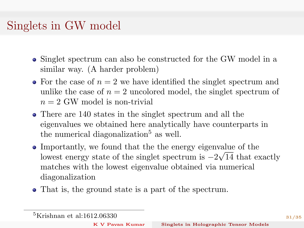## Singlets in GW model

- Singlet spectrum can also be constructed for the GW model in a similar way. (A harder problem)
- For the case of  $n = 2$  we have identified the singlet spectrum and unlike the case of  $n = 2$  uncolored model, the singlet spectrum of  $n = 2$  GW model is non-trivial
- There are 140 states in the singlet spectrum and all the eigenvalues we obtained here analytically have counterparts in the numerical diagonalization<sup>5</sup> as well.
- Importantly, we found that the the energy eigenvalue of the lowest energy state of the singlet spectrum is  $-2\sqrt{14}$  that exactly matches with the lowest eigenvalue obtained via numerical diagonalization
- That is, the ground state is a part of the spectrum.

K [V Pavan Kumar](#page-0-0) Singlets in Holographic Tensor Models

<sup>5</sup>Krishnan et al:1612.06330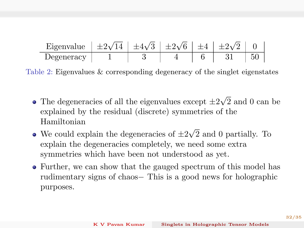| Eigenvalue $\pm 2\sqrt{14} + 4\sqrt{3} + 2\sqrt{6} + 4 + 2\sqrt{2} + 0$ |  |  |  |
|-------------------------------------------------------------------------|--|--|--|
|                                                                         |  |  |  |
| Degeneracy                                                              |  |  |  |

Table 2: Eigenvalues & corresponding degeneracy of the singlet eigenstates

- The degeneracies of all the eigenvalues except  $\pm 2$ √ 2 and 0 can be explained by the residual (discrete) symmetries of the Hamiltonian √
- We could explain the degeneracies of  $\pm 2$ 2 and 0 partially. To explain the degeneracies completely, we need some extra symmetries which have been not understood as yet.
- Further, we can show that the gauged spectrum of this model has rudimentary signs of chaos− This is a good news for holographic purposes.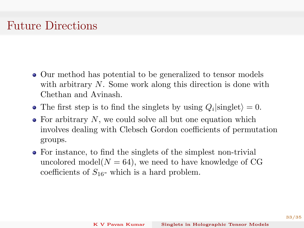## Future Directions

- Our method has potential to be generalized to tensor models with arbitrary N. Some work along this direction is done with Chethan and Avinash.
- The first step is to find the singlets by using  $Q_i$  singlet $\rangle = 0$ .
- $\bullet$  For arbitrary N, we could solve all but one equation which involves dealing with Clebsch Gordon coefficients of permutation groups.
- For instance, to find the singlets of the simplest non-trivial uncolored model $(N = 64)$ , we need to have knowledge of CG coefficients of  $S_{16}$ - which is a hard problem.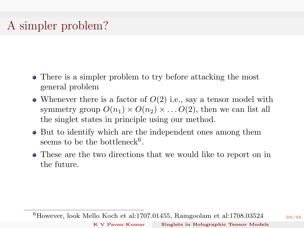# A simpler problem?

- There is a simpler problem to try before attacking the most general problem
- Whenever there is a factor of  $O(2)$  i.e., say a tensor model with symmetry group  $O(n_1) \times O(n_2) \times \ldots O(2)$ , then we can list all the singlet states in principle using our method.
- But to identify which are the independent ones among them seems to be the bottleneck<sup>6</sup>.
- These are the two directions that we would like to report on in the future.

<sup>6</sup>However, look Mello Koch et al:1707.01455, Ramgoolam et al:1708.03524

34/35